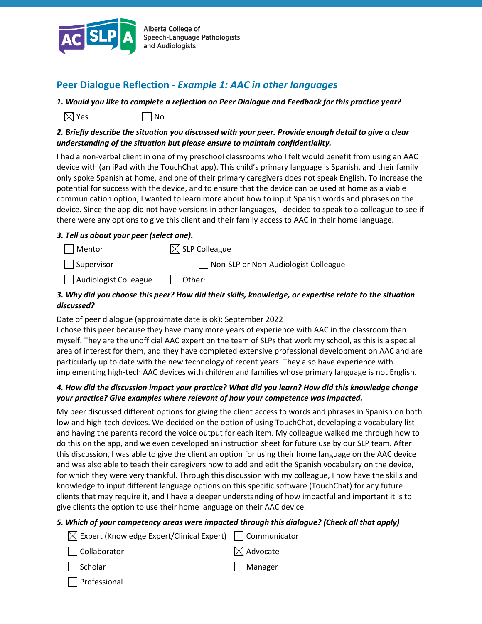

Alberta College of Speech-Language Pathologists and Audiologists

# **Peer Dialogue Reflection -** *Example 1: AAC in other languages*

*1. Would you like to complete a reflection on Peer Dialogue and Feedback for this practice year?*

 $\boxtimes$  Yes  $\Box$  No

### *2. Briefly describe the situation you discussed with your peer. Provide enough detail to give a clear understanding of the situation but please ensure to maintain confidentiality.*

I had a non-verbal client in one of my preschool classrooms who I felt would benefit from using an AAC device with (an iPad with the TouchChat app). This child's primary language is Spanish, and their family only spoke Spanish at home, and one of their primary caregivers does not speak English. To increase the potential for success with the device, and to ensure that the device can be used at home as a viable communication option, I wanted to learn more about how to input Spanish words and phrases on the device. Since the app did not have versions in other languages, I decided to speak to a colleague to see if there were any options to give this client and their family access to AAC in their home language.

### *3. Tell us about your peer (select one).*

Mentor  $\boxtimes$  SLP Colleague Supervisor and Non-SLP or Non-Audiologist Colleague

 $\Box$  Audiologist Colleague  $\Box$  Other:

## *3. Why did you choose this peer? How did their skills, knowledge, or expertise relate to the situation discussed?*

#### Date of peer dialogue (approximate date is ok): September 2022

I chose this peer because they have many more years of experience with AAC in the classroom than myself. They are the unofficial AAC expert on the team of SLPs that work my school, as this is a special area of interest for them, and they have completed extensive professional development on AAC and are particularly up to date with the new technology of recent years. They also have experience with implementing high-tech AAC devices with children and families whose primary language is not English.

### *4. How did the discussion impact your practice? What did you learn? How did this knowledge change your practice? Give examples where relevant of how your competence was impacted.*

My peer discussed different options for giving the client access to words and phrases in Spanish on both low and high-tech devices. We decided on the option of using TouchChat, developing a vocabulary list and having the parents record the voice output for each item. My colleague walked me through how to do this on the app, and we even developed an instruction sheet for future use by our SLP team. After this discussion, I was able to give the client an option for using their home language on the AAC device and was also able to teach their caregivers how to add and edit the Spanish vocabulary on the device, for which they were very thankful. Through this discussion with my colleague, I now have the skills and knowledge to input different language options on this specific software (TouchChat) for any future clients that may require it, and I have a deeper understanding of how impactful and important it is to give clients the option to use their home language on their AAC device.

## *5. Which of your competency areas were impacted through this dialogue? (Check all that apply)*

| $\boxtimes$ Expert (Knowledge Expert/Clinical Expert)   Communicator |                      |
|----------------------------------------------------------------------|----------------------|
| Collaborator                                                         | $\boxtimes$ Advocate |
| $\Box$ Scholar                                                       | Manager              |
| Professional                                                         |                      |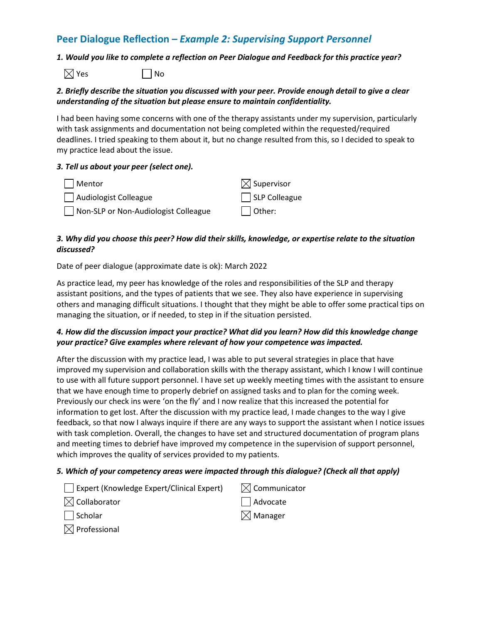# **Peer Dialogue Reflection –** *Example 2: Supervising Support Personnel*

#### *1. Would you like to complete a reflection on Peer Dialogue and Feedback for this practice year?*

 $\boxtimes$  Yes  $\Box$  No

#### *2. Briefly describe the situation you discussed with your peer. Provide enough detail to give a clear understanding of the situation but please ensure to maintain confidentiality.*

I had been having some concerns with one of the therapy assistants under my supervision, particularly with task assignments and documentation not being completed within the requested/required deadlines. I tried speaking to them about it, but no change resulted from this, so I decided to speak to my practice lead about the issue.

#### *3. Tell us about your peer (select one).*

| Mentor                               | $\boxtimes$ Supervisor |
|--------------------------------------|------------------------|
| Audiologist Colleague                | $\Box$ SLP Colleague   |
| Non-SLP or Non-Audiologist Colleague | $\Box$ Other:          |

#### *3. Why did you choose this peer? How did their skills, knowledge, or expertise relate to the situation discussed?*

Date of peer dialogue (approximate date is ok): March 2022

As practice lead, my peer has knowledge of the roles and responsibilities of the SLP and therapy assistant positions, and the types of patients that we see. They also have experience in supervising others and managing difficult situations. I thought that they might be able to offer some practical tips on managing the situation, or if needed, to step in if the situation persisted.

#### *4. How did the discussion impact your practice? What did you learn? How did this knowledge change your practice? Give examples where relevant of how your competence was impacted.*

After the discussion with my practice lead, I was able to put several strategies in place that have improved my supervision and collaboration skills with the therapy assistant, which I know I will continue to use with all future support personnel. I have set up weekly meeting times with the assistant to ensure that we have enough time to properly debrief on assigned tasks and to plan for the coming week. Previously our check ins were 'on the fly' and I now realize that this increased the potential for information to get lost. After the discussion with my practice lead, I made changes to the way I give feedback, so that now I always inquire if there are any ways to support the assistant when I notice issues with task completion. Overall, the changes to have set and structured documentation of program plans and meeting times to debrief have improved my competence in the supervision of support personnel, which improves the quality of services provided to my patients.

#### *5. Which of your competency areas were impacted through this dialogue? (Check all that apply)*

| Expert (Knowledge Expert/Clinical Expert) | $\boxtimes$ Communicator |
|-------------------------------------------|--------------------------|
| $\boxtimes$ Collaborator                  | $\Box$ Advocate          |
| Scholar                                   | $\boxtimes$ Manager      |
| $\boxtimes$ Professional                  |                          |